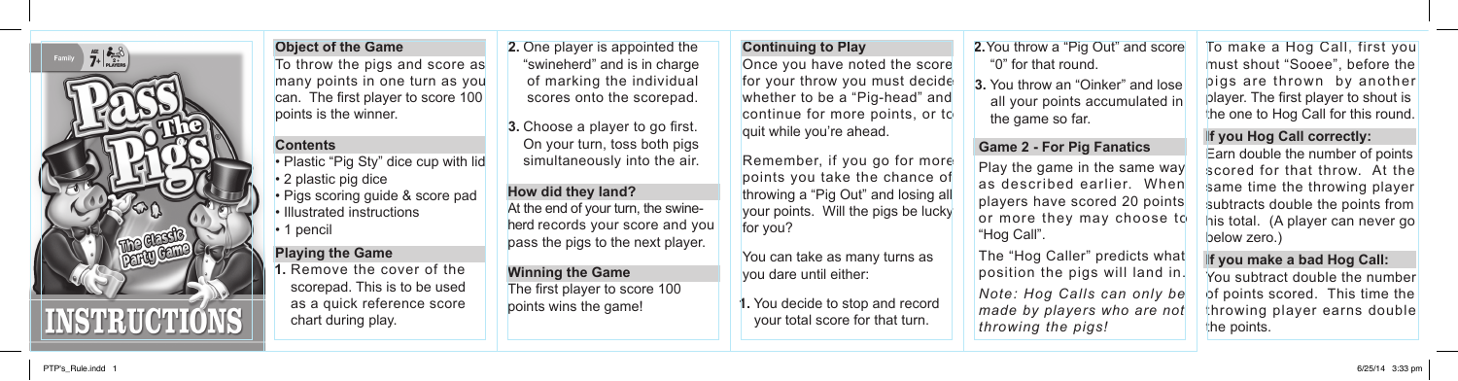

## **Object of the Game**

To throw the pigs and score as many points in one turn as you can. The first player to score 100 points is the winner.

### **Contents**

• Plastic "Pig Sty" dice cup with lid • 2 plastic pig dice • Pigs scoring guide & score pad • Illustrated instructions • 1 pencil

## **Playing the Game**

 Remove the cover of the scorepad. This is to be used as a quick reference score chart during play. **1.**

**2.** One player is appointed the **Continuing to Play 2.**  "swineherd" and is in charge of marking the individual scores onto the scorepad.

**3.** Choose a player to go first. On your turn, toss both pigs simultaneously into the air.

**How did they land?** At the end of your turn, the swineherd records your score and you pass the pigs to the next player.

## **Winning the Game** The first player to score 100 points wins the game!

**Continuing to Play** Once you have noted the score for your throw you must decide whether to be a "Pig-head" and continue for more points, or to quit while you're ahead.

Remember, if you go for more points you take the chance of throwing a "Pig Out" and losing all your points. Will the pigs be lucky for you?

You can take as many turns as you dare until either:

1. You decide to stop and record your total score for that turn.

2. You throw a "Pig Out" and score "0" for that round.

**3.** You throw an "Oinker" and lose all your points accumulated in the game so far.

# **Game 2 - For Pig Fanatics**

Play the game in the same way as described earlier. When players have scored 20 points or more they may choose to "Hog Call".

The "Hog Caller" predicts what position the pigs will land in. *Note: Hog Calls can only be made by players who are not throwing the pigs!*

To make a Hog Call, first you must shout "Sooee", before the pigs are thrown by another player. The first player to shout is the one to Hog Call for this round.

# **If you Hog Call correctly:**

Earn double the number of points scored for that throw. At the same time the throwing player subtracts double the points from his total. (A player can never go below zero.)

### **If you make a bad Hog Call:**

You subtract double the number of points scored. This time the throwing player earns double the points.